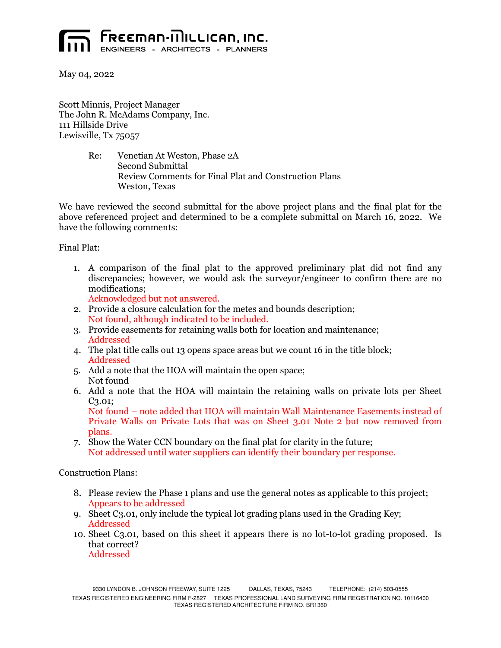

May 04, 2022

Scott Minnis, Project Manager The John R. McAdams Company, Inc. 111 Hillside Drive Lewisville, Tx 75057

> Re: Venetian At Weston, Phase 2A Second Submittal Review Comments for Final Plat and Construction Plans Weston, Texas

We have reviewed the second submittal for the above project plans and the final plat for the above referenced project and determined to be a complete submittal on March 16, 2022. We have the following comments:

Final Plat:

1. A comparison of the final plat to the approved preliminary plat did not find any discrepancies; however, we would ask the surveyor/engineer to confirm there are no modifications;

Acknowledged but not answered.

- 2. Provide a closure calculation for the metes and bounds description; Not found, although indicated to be included.
- 3. Provide easements for retaining walls both for location and maintenance; Addressed
- 4. The plat title calls out 13 opens space areas but we count 16 in the title block; Addressed
- 5. Add a note that the HOA will maintain the open space; Not found
- 6. Add a note that the HOA will maintain the retaining walls on private lots per Sheet C3.01;

Not found – note added that HOA will maintain Wall Maintenance Easements instead of Private Walls on Private Lots that was on Sheet 3.01 Note 2 but now removed from plans.

7. Show the Water CCN boundary on the final plat for clarity in the future; Not addressed until water suppliers can identify their boundary per response.

Construction Plans:

- 8. Please review the Phase 1 plans and use the general notes as applicable to this project; Appears to be addressed
- 9. Sheet C3.01, only include the typical lot grading plans used in the Grading Key; Addressed
- 10. Sheet C3.01, based on this sheet it appears there is no lot-to-lot grading proposed. Is that correct? Addressed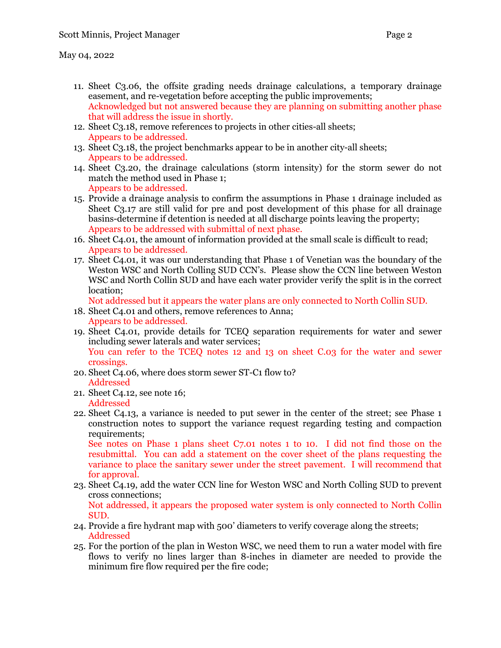- 11. Sheet C3.06, the offsite grading needs drainage calculations, a temporary drainage easement, and re-vegetation before accepting the public improvements; Acknowledged but not answered because they are planning on submitting another phase that will address the issue in shortly.
- 12. Sheet C3.18, remove references to projects in other cities-all sheets; Appears to be addressed.
- 13. Sheet C3.18, the project benchmarks appear to be in another city-all sheets; Appears to be addressed.
- 14. Sheet C3.20, the drainage calculations (storm intensity) for the storm sewer do not match the method used in Phase 1; Appears to be addressed.
- 15. Provide a drainage analysis to confirm the assumptions in Phase 1 drainage included as Sheet C3.17 are still valid for pre and post development of this phase for all drainage basins-determine if detention is needed at all discharge points leaving the property; Appears to be addressed with submittal of next phase.
- 16. Sheet C4.01, the amount of information provided at the small scale is difficult to read; Appears to be addressed.
- 17. Sheet C4.01, it was our understanding that Phase 1 of Venetian was the boundary of the Weston WSC and North Colling SUD CCN's. Please show the CCN line between Weston WSC and North Collin SUD and have each water provider verify the split is in the correct location;

Not addressed but it appears the water plans are only connected to North Collin SUD.

- 18. Sheet C4.01 and others, remove references to Anna; Appears to be addressed.
- 19. Sheet C4.01, provide details for TCEQ separation requirements for water and sewer including sewer laterals and water services; You can refer to the TCEQ notes 12 and 13 on sheet C.03 for the water and sewer crossings.
- 20. Sheet C4.06, where does storm sewer ST-C1 flow to? Addressed
- 21. Sheet C4.12, see note 16; Addressed
- 22. Sheet C4.13, a variance is needed to put sewer in the center of the street; see Phase 1 construction notes to support the variance request regarding testing and compaction requirements:

See notes on Phase 1 plans sheet C7.01 notes 1 to 10. I did not find those on the resubmittal. You can add a statement on the cover sheet of the plans requesting the variance to place the sanitary sewer under the street pavement. I will recommend that for approval.

- 23. Sheet C4.19, add the water CCN line for Weston WSC and North Colling SUD to prevent cross connections; Not addressed, it appears the proposed water system is only connected to North Collin SUD.
- 24. Provide a fire hydrant map with 500' diameters to verify coverage along the streets; Addressed
- 25. For the portion of the plan in Weston WSC, we need them to run a water model with fire flows to verify no lines larger than 8-inches in diameter are needed to provide the minimum fire flow required per the fire code;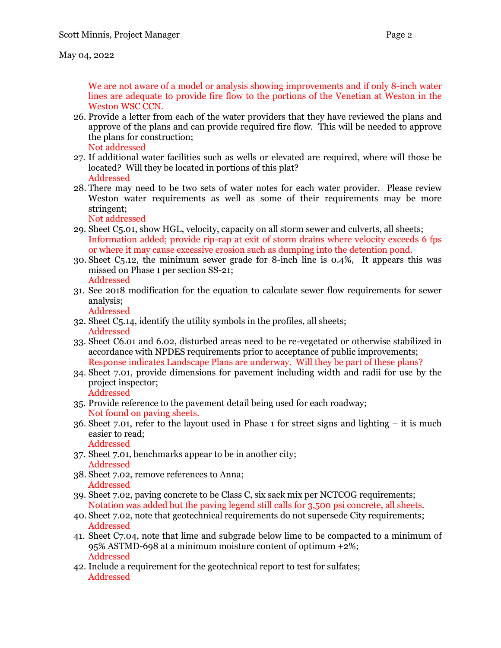We are not aware of a model or analysis showing improvements and if only 8-inch water lines are adequate to provide fire flow to the portions of the Venetian at Weston in the Weston WSC CCN.

- 26. Provide a letter from each of the water providers that they have reviewed the plans and approve of the plans and can provide required fire flow. This will be needed to approve the plans for construction;
	- Not addressed
- 27. If additional water facilities such as wells or elevated are required, where will those be located? Will they be located in portions of this plat? Addressed
- 28. There may need to be two sets of water notes for each water provider. Please review Weston water requirements as well as some of their requirements may be more stringent;

Not addressed

- 29. Sheet C5.01, show HGL, velocity, capacity on all storm sewer and culverts, all sheets; Information added; provide rip-rap at exit of storm drains where velocity exceeds 6 fps or where it may cause excessive erosion such as dumping into the detention pond.
- 30. Sheet C5.12, the minimum sewer grade for 8-inch line is 0.4%, It appears this was missed on Phase 1 per section SS-21; Addressed
- 31. See 2018 modification for the equation to calculate sewer flow requirements for sewer analysis;

Addressed

- 32. Sheet C5.14, identify the utility symbols in the profiles, all sheets; Addressed
- 33. Sheet C6.01 and 6.02, disturbed areas need to be re-vegetated or otherwise stabilized in accordance with NPDES requirements prior to acceptance of public improvements; Response indicates Landscape Plans are underway. Will they be part of these plans?
- 34. Sheet 7.01, provide dimensions for pavement including width and radii for use by the project inspector; Addressed
- 35. Provide reference to the pavement detail being used for each roadway; Not found on paving sheets.
- 36. Sheet 7.01, refer to the layout used in Phase 1 for street signs and lighting it is much easier to read; Addressed
- 37. Sheet 7.01, benchmarks appear to be in another city; Addressed
- 38. Sheet 7.02, remove references to Anna; Addressed
- 39. Sheet 7.02, paving concrete to be Class C, six sack mix per NCTCOG requirements; Notation was added but the paving legend still calls for 3,500 psi concrete, all sheets.
- 40. Sheet 7.02, note that geotechnical requirements do not supersede City requirements; Addressed
- 41. Sheet C7.04, note that lime and subgrade below lime to be compacted to a minimum of 95% ASTMD-698 at a minimum moisture content of optimum +2%; Addressed
- 42. Include a requirement for the geotechnical report to test for sulfates; Addressed